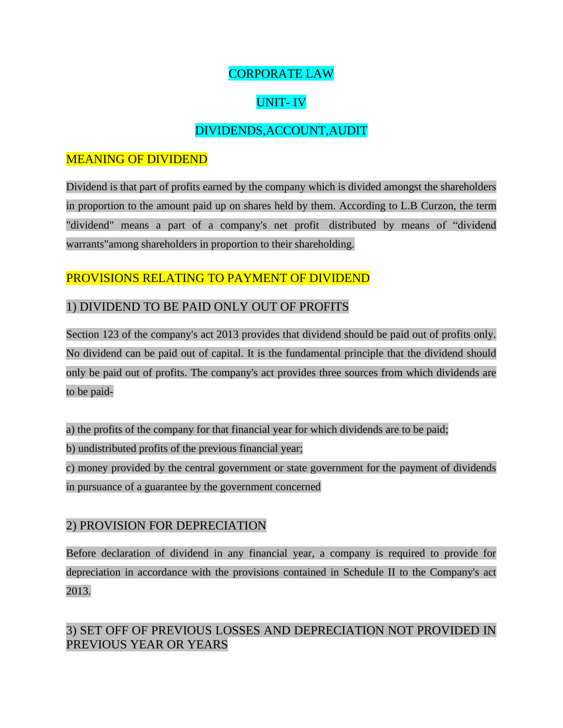## CORPORATE LAW

# UNIT- IV

## DIVIDENDS,ACCOUNT,AUDIT

## MEANING OF DIVIDEND

Dividend is that part of profits earned by the company which is divided amongst the shareholders in proportion to the amount paid up on shares held by them. According to L.B Curzon, the term "dividend" means a part of a company's net profit distributed by means of "dividend warrants"among shareholders in proportion to their shareholding.

## PROVISIONS RELATING TO PAYMENT OF DIVIDEND

### 1) DIVIDEND TO BE PAID ONLY OUT OF PROFITS

Section 123 of the company's act 2013 provides that dividend should be paid out of profits only. No dividend can be paid out of capital. It is the fundamental principle that the dividend should only be paid out of profits. The company's act provides three sources from which dividends are to be paid-

a) the profits of the company for that financial year for which dividends are to be paid;

b) undistributed profits of the previous financial year;

c) money provided by the central government or state government for the payment of dividends in pursuance of a guarantee by the government concerned

### 2) PROVISION FOR DEPRECIATION

Before declaration of dividend in any financial year, a company is required to provide for depreciation in accordance with the provisions contained in Schedule II to the Company's act 2013.

## 3) SET OFF OF PREVIOUS LOSSES AND DEPRECIATION NOT PROVIDED IN PREVIOUS YEAR OR YEARS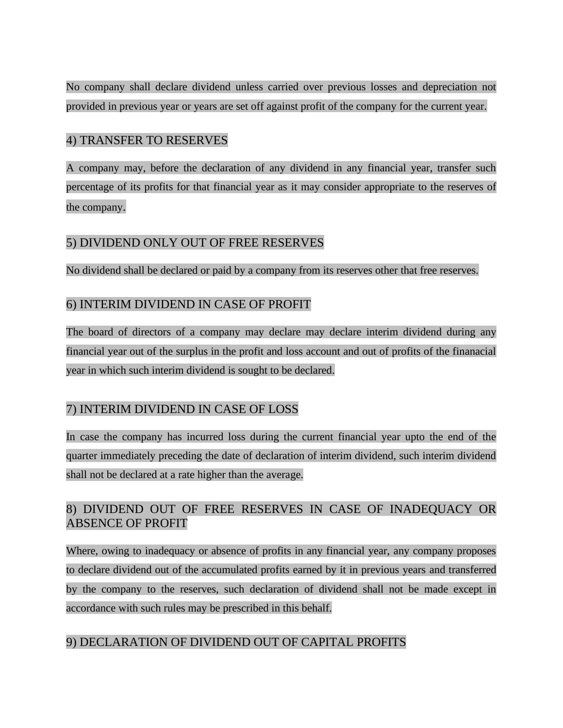No company shall declare dividend unless carried over previous losses and depreciation not provided in previous year or years are set off against profit of the company for the current year.

### 4) TRANSFER TO RESERVES

A company may, before the declaration of any dividend in any financial year, transfer such percentage of its profits for that financial year as it may consider appropriate to the reserves of the company.

### 5) DIVIDEND ONLY OUT OF FREE RESERVES

No dividend shall be declared or paid by a company from its reserves other that free reserves.

### 6) INTERIM DIVIDEND IN CASE OF PROFIT

The board of directors of a company may declare may declare interim dividend during any financial year out of the surplus in the profit and loss account and out of profits of the finanacial year in which such interim dividend is sought to be declared.

### 7) INTERIM DIVIDEND IN CASE OF LOSS

In case the company has incurred loss during the current financial year upto the end of the quarter immediately preceding the date of declaration of interim dividend, such interim dividend shall not be declared at a rate higher than the average.

## 8) DIVIDEND OUT OF FREE RESERVES IN CASE OF INADEQUACY OR ABSENCE OF PROFIT

Where, owing to inadequacy or absence of profits in any financial year, any company proposes to declare dividend out of the accumulated profits earned by it in previous years and transferred by the company to the reserves, such declaration of dividend shall not be made except in accordance with such rules may be prescribed in this behalf.

## 9) DECLARATION OF DIVIDEND OUT OF CAPITAL PROFITS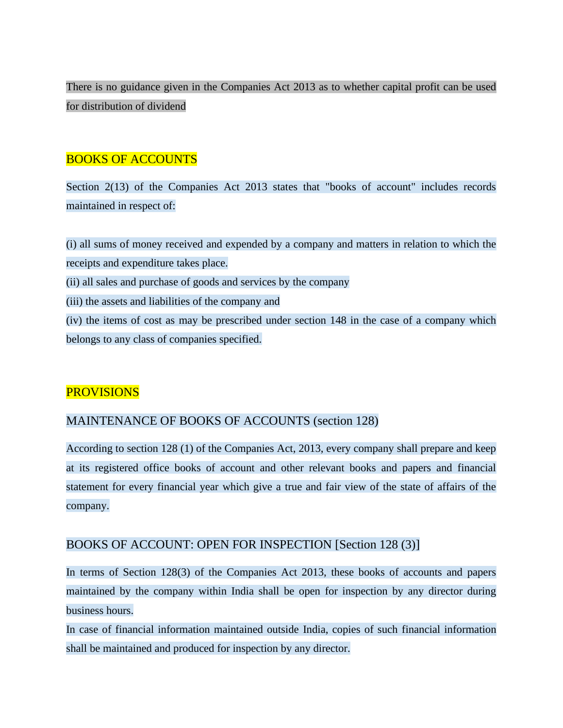There is no guidance given in the Companies Act 2013 as to whether capital profit can be used for distribution of dividend

### BOOKS OF ACCOUNTS

Section 2(13) of the Companies Act 2013 states that "books of account" includes records maintained in respect of:

(i) all sums of money received and expended by a company and matters in relation to which the receipts and expenditure takes place. (ii) all sales and purchase of goods and services by the company (iii) the assets and liabilities of the company and (iv) the items of cost as may be prescribed under section 148 in the case of a company which belongs to any class of companies specified.

### **PROVISIONS**

### MAINTENANCE OF BOOKS OF ACCOUNTS (section 128)

According to section 128 (1) of the Companies Act, 2013, every company shall prepare and keep at its registered office books of account and other relevant books and papers and financial statement for every financial year which give a true and fair view of the state of affairs of the company.

#### BOOKS OF ACCOUNT: OPEN FOR INSPECTION [Section 128 (3)]

In terms of Section 128(3) of the Companies Act 2013, these books of accounts and papers maintained by the company within India shall be open for inspection by any director during business hours.

In case of financial information maintained outside India, copies of such financial information shall be maintained and produced for inspection by any director.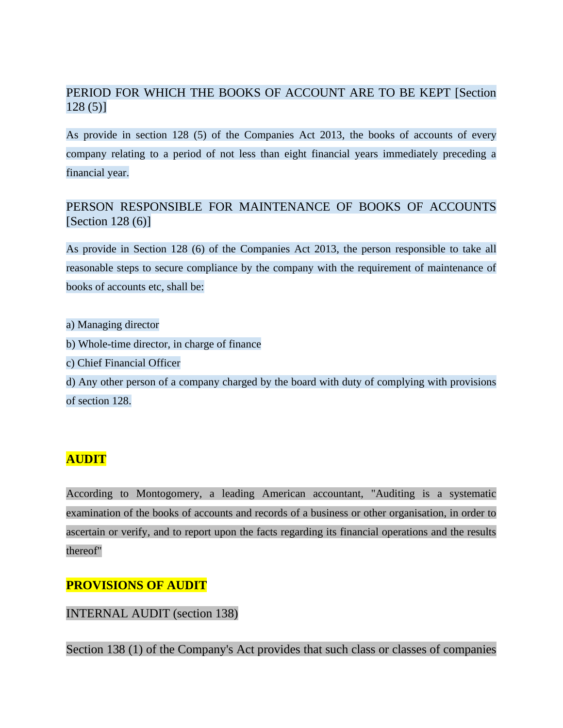## PERIOD FOR WHICH THE BOOKS OF ACCOUNT ARE TO BE KEPT [Section 128 (5)]

As provide in section 128 (5) of the Companies Act 2013, the books of accounts of every company relating to a period of not less than eight financial years immediately preceding a financial year.

## PERSON RESPONSIBLE FOR MAINTENANCE OF BOOKS OF ACCOUNTS [Section 128 (6)]

As provide in Section 128 (6) of the Companies Act 2013, the person responsible to take all reasonable steps to secure compliance by the company with the requirement of maintenance of books of accounts etc, shall be:

a) Managing director

- b) Whole-time director, in charge of finance
- c) Chief Financial Officer

d) Any other person of a company charged by the board with duty of complying with provisions of section 128.

## **AUDIT**

According to Montogomery, a leading American accountant, "Auditing is a systematic examination of the books of accounts and records of a business or other organisation, in order to ascertain or verify, and to report upon the facts regarding its financial operations and the results thereof"

### **PROVISIONS OF AUDIT**

INTERNAL AUDIT (section 138)

Section 138 (1) of the Company's Act provides that such class or classes of companies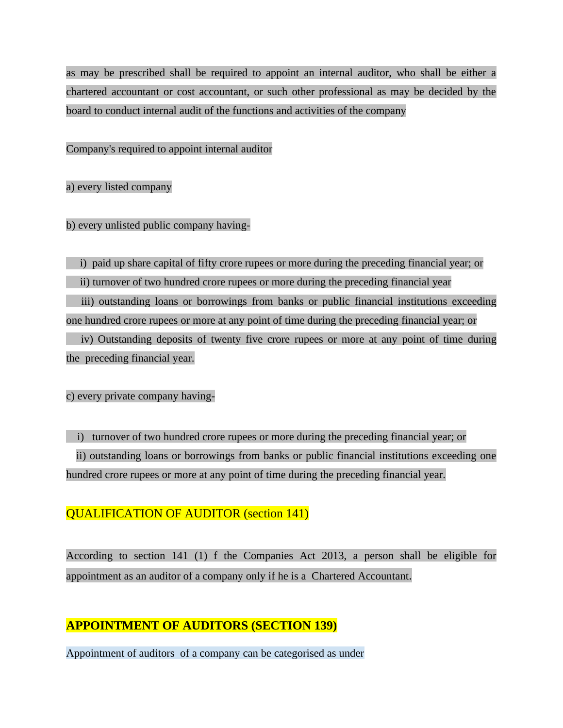as may be prescribed shall be required to appoint an internal auditor, who shall be either a chartered accountant or cost accountant, or such other professional as may be decided by the board to conduct internal audit of the functions and activities of the company

Company's required to appoint internal auditor

a) every listed company

b) every unlisted public company having-

i) paid up share capital of fifty crore rupees or more during the preceding financial year; or

ii) turnover of two hundred crore rupees or more during the preceding financial year

iii) outstanding loans or borrowings from banks or public financial institutions exceeding one hundred crore rupees or more at any point of time during the preceding financial year; or

iv) Outstanding deposits of twenty five crore rupees or more at any point of time during the preceding financial year.

c) every private company having-

i) turnover of two hundred crore rupees or more during the preceding financial year; or ii) outstanding loans or borrowings from banks or public financial institutions exceeding one hundred crore rupees or more at any point of time during the preceding financial year.

### QUALIFICATION OF AUDITOR (section 141)

According to section 141 (1) f the Companies Act 2013, a person shall be eligible for appointment as an auditor of a company only if he is a Chartered Accountant.

## **APPOINTMENT OF AUDITORS (SECTION 139)**

Appointment of auditors of a company can be categorised as under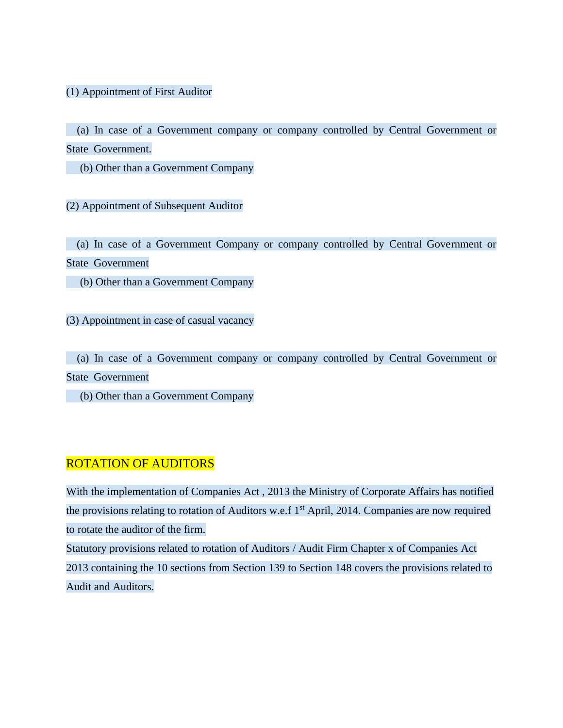#### (1) Appointment of First Auditor

(a) In case of a Government company or company controlled by Central Government or State Government.

(b) Other than a Government Company

(2) Appointment of Subsequent Auditor

(a) In case of a Government Company or company controlled by Central Government or State Government

(b) Other than a Government Company

(3) Appointment in case of casual vacancy

(a) In case of a Government company or company controlled by Central Government or State Government

(b) Other than a Government Company

#### ROTATION OF AUDITORS

With the implementation of Companies Act , 2013 the Ministry of Corporate Affairs has notified the provisions relating to rotation of Auditors w.e.f 1<sup>st</sup> April, 2014. Companies are now required to rotate the auditor of the firm.

Statutory provisions related to rotation of Auditors / Audit Firm Chapter x of Companies Act 2013 containing the 10 sections from Section 139 to Section 148 covers the provisions related to Audit and Auditors.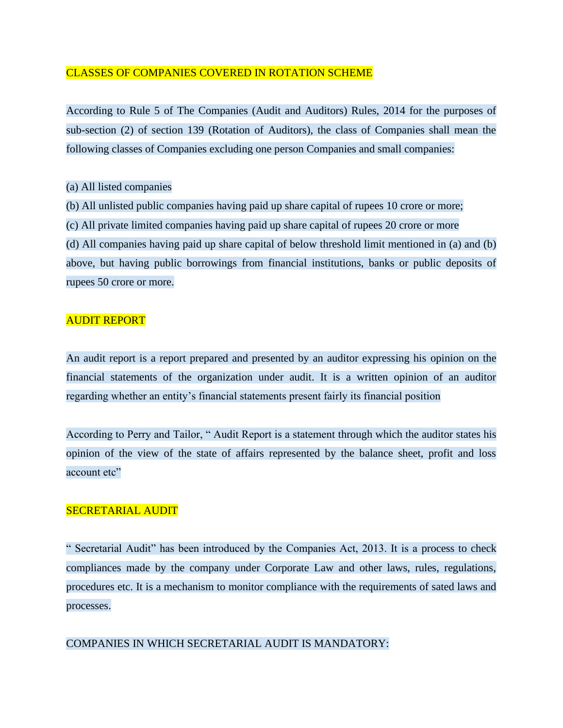#### CLASSES OF COMPANIES COVERED IN ROTATION SCHEME

According to Rule 5 of The Companies (Audit and Auditors) Rules, 2014 for the purposes of sub-section (2) of section 139 (Rotation of Auditors), the class of Companies shall mean the following classes of Companies excluding one person Companies and small companies:

#### (a) All listed companies

(b) All unlisted public companies having paid up share capital of rupees 10 crore or more;

(c) All private limited companies having paid up share capital of rupees 20 crore or more

(d) All companies having paid up share capital of below threshold limit mentioned in (a) and (b)

above, but having public borrowings from financial institutions, banks or public deposits of rupees 50 crore or more.

#### AUDIT REPORT

An audit report is a report prepared and presented by an auditor expressing his opinion on the financial statements of the organization under audit. It is a written opinion of an auditor regarding whether an entity's financial statements present fairly its financial position

According to Perry and Tailor, " Audit Report is a statement through which the auditor states his opinion of the view of the state of affairs represented by the balance sheet, profit and loss account etc"

#### SECRETARIAL AUDIT

" Secretarial Audit" has been introduced by the Companies Act, 2013. It is a process to check compliances made by the company under Corporate Law and other laws, rules, regulations, procedures etc. It is a mechanism to monitor compliance with the requirements of sated laws and processes.

#### COMPANIES IN WHICH SECRETARIAL AUDIT IS MANDATORY: